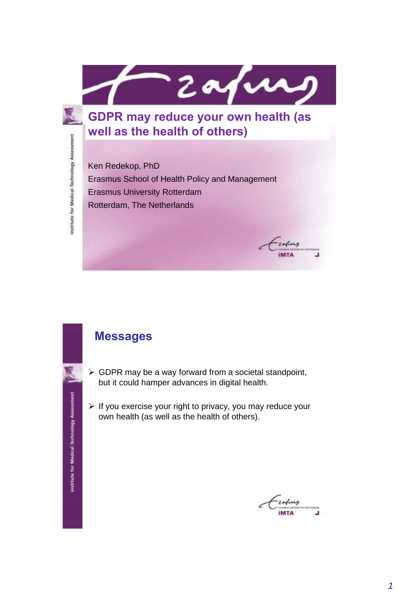

**GDPR may reduce your own health (as well as the health of others)**

Ken Redekop, PhD Erasmus School of Health Policy and Management Erasmus University Rotterdam Rotterdam, The Netherlands

#### **Messages**

institute for Medical Technology Assessment

institute for Medical Technology Assessment

- $\triangleright$  GDPR may be a way forward from a societal standpoint, but it could hamper advances in digital health.
- $\triangleright$  If you exercise your right to privacy, you may reduce your own health (as well as the health of others).



zading **IMTA** 

┚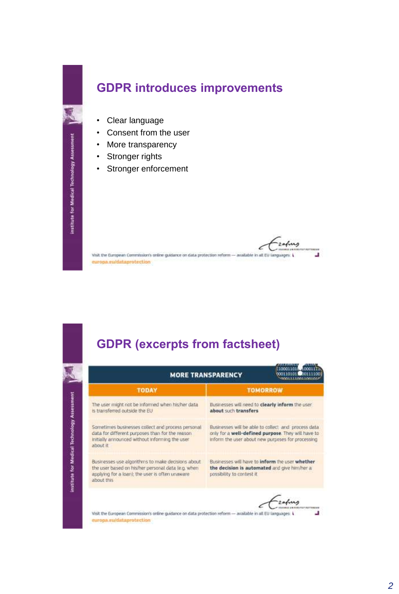to for Medical Technology Asses

## **GDPR introduces improvements**

- Clear language
- Consent from the user
- More transparency
- Stronger rights
- Stronger enforcement

Visit the European Commission's online guidance on data protection reform - available in all EU languages: L J europa.eu/dataprotection

# **GDPR (excerpts from factsheet)**

| <b>TODAY</b>                                                                                                                                                              | <b>TOMORROW</b>                                                                                                                                                |  |  |
|---------------------------------------------------------------------------------------------------------------------------------------------------------------------------|----------------------------------------------------------------------------------------------------------------------------------------------------------------|--|--|
| The user might not be informed when his/her data<br>is transferred outside the EU                                                                                         | Businesses will need to clearly inform the user<br>about such transfers                                                                                        |  |  |
| Sometimes businesses collect and process personal<br>data for different purposes than for the reason<br>initially announced without informing the user.<br>about it.      | Businesses will be able to collect and process data<br>only for a well-defined purpose. They will have to<br>inform the user about new purposes for processing |  |  |
| Businesses use algorithms to make decisions about<br>the user based on his/her personal data (e.g. when<br>applying for a loan); the user is often unaware.<br>about this | Businesses will have to inform the user whether<br>the decision is automated and give himmer a<br>passibility to contest it.                                   |  |  |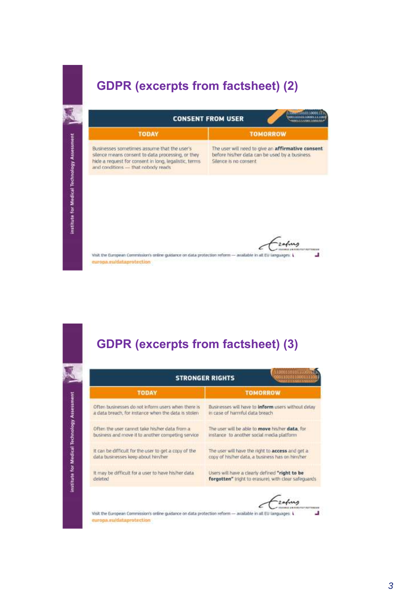### **GDPR (excerpts from factsheet) (2)**



europa.eu/dataprotection

# **GDPR (excerpts from factsheet) (3)**

|                                                       | 110001101011<br><b>STRONGER RIGHTS</b>               |
|-------------------------------------------------------|------------------------------------------------------|
| <b>TODAY</b>                                          | <b>TOMORROW</b>                                      |
| Often businesses do not inform users when there is    | Businesses will have to inform users without delay   |
| a data breach, for instance when the data is stolen.  | In case of harmful data breach                       |
| Often the user cannot take his/her data from a        | The user will be able to move his/her data, for      |
| business and move it to another competing service     | instance to another social media platform            |
| It can be difficult for the user to get a copy of the | The user will have the right to access and get a     |
| data businesses keep about him/her                    | copy of his/her data, a business has on him/her      |
| It may be difficult for a user to have his/her data   | Users will have a clearly defined "right to be       |
| deleted                                               | forgotten" iright to erasure), with clear safeguards |
|                                                       |                                                      |

zafung € J u

Visit the European Commission's online guidance on data protection reform - available in all EU languages: L europa.eu/dataprotection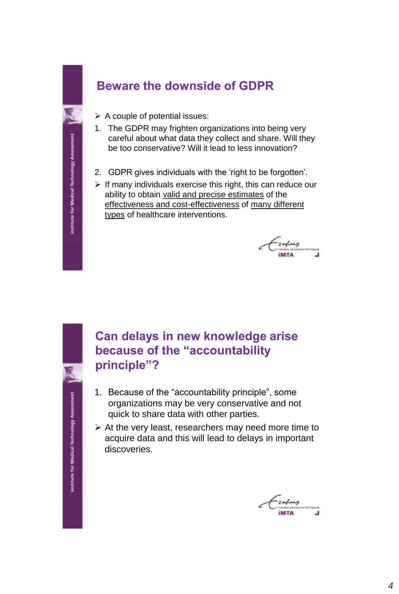# **Beware the downside of GDPR**

- $\triangleright$  A couple of potential issues:
- 1. The GDPR may frighten organizations into being very careful about what data they collect and share. Will they be too conservative? Will it lead to less innovation?
- 2. GDPR gives individuals with the 'right to be forgotten'.
- $\triangleright$  If many individuals exercise this right, this can reduce our ability to obtain valid and precise estimates of the effectiveness and cost-effectiveness of many different types of healthcare interventions.

**MTA** ⊐

### **Can delays in new knowledge arise because of the "accountability principle"?**

- 1. Because of the "accountability principle", some organizations may be very conservative and not quick to share data with other parties.
- $\triangleright$  At the very least, researchers may need more time to acquire data and this will lead to delays in important discoveries.

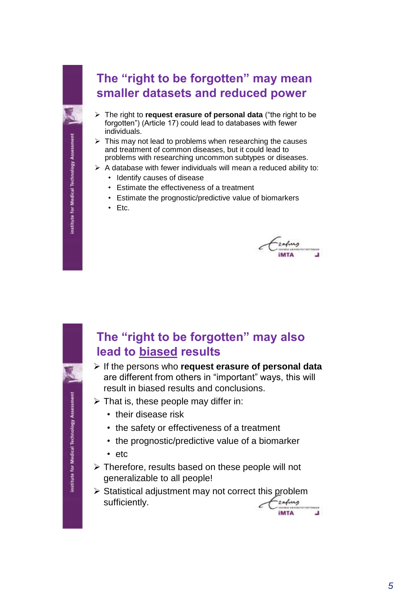### **The "right to be forgotten" may mean smaller datasets and reduced power**

- The right to **request erasure of personal data** ("the right to be forgotten") (Article 17) could lead to databases with fewer individuals.
- $\triangleright$  This may not lead to problems when researching the causes and treatment of common diseases, but it could lead to problems with researching uncommon subtypes or diseases.
- $\triangleright$  A database with fewer individuals will mean a reduced ability to:
	- Identify causes of disease
	- Estimate the effectiveness of a treatment
	- Estimate the prognostic/predictive value of biomarkers
	- Etc.

MTA

**MTA** 

u

#### **The "right to be forgotten" may also lead to biased results**

- If the persons who **request erasure of personal data** are different from others in "important" ways, this will result in biased results and conclusions.
- $\triangleright$  That is, these people may differ in:
	- their disease risk
	- the safety or effectiveness of a treatment
	- the prognostic/predictive value of a biomarker
	- etc
- $\triangleright$  Therefore, results based on these people will not generalizable to all people!
- $\triangleright$  Statistical adjustment may not correct this problem sufficiently.zafung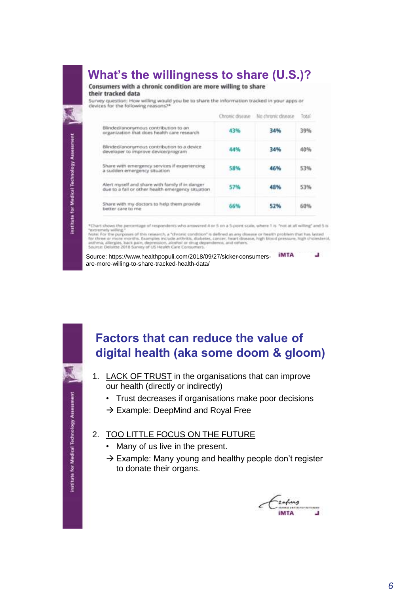# **What's the willingness to share (U.S.)?**

Consumers with a chronic condition are more willing to share their tracked data

Survey question: How willing would you be to share the information tracked in your apps or devices for the following reasons?\*

|                                                                                                      | Chronic disease | No chronic disease | Total                   |
|------------------------------------------------------------------------------------------------------|-----------------|--------------------|-------------------------|
| Blinded/anonymous contribution to an<br>organization that does health care research                  | 43%             | 34%                | <b>CONTRACTO</b><br>39% |
| Blinded/anonymous contribution to a device<br>developer to improve device/program                    | 44%             | 34%                | 40%                     |
| Share with emergency services if experiencing<br>a sudden emergency situation                        | 58%             | 46%                | 53%                     |
| Alert myself and share with family if in danger<br>due to a fall or other health emergency situation | 57%             | 48%                | 53%                     |
| Share with my doctors to help them provide<br>better care to me                                      | 66%             | 52%                | 60%                     |

\*Chart shows the percentage of respondents who arrowered 4 or 5 on a 5-point scale, where 1 is "not at all willing" and 5 is "extremely willing

"extremely welling."<br>The for the purposes of this research, a "chronic condition" is defined as any disease or health problem that has lated<br>for three or more months. Examples include arthritis, diabetes, cancer, heart dis

Source: https://www.healthpopuli.com/2018/09/27/sicker-consumers- iMTA u are-more-willing-to-share-tracked-health-data/

institute for Medical Technology Assessment

#### **Factors that can reduce the value of digital health (aka some doom & gloom)**

- 1. LACK OF TRUST in the organisations that can improve our health (directly or indirectly)
	- Trust decreases if organisations make poor decisions
	- $\rightarrow$  Example: DeepMind and Royal Free
- 2. TOO LITTLE FOCUS ON THE FUTURE
	- Many of us live in the present.
	- $\rightarrow$  Example: Many young and healthy people don't register to donate their organs.

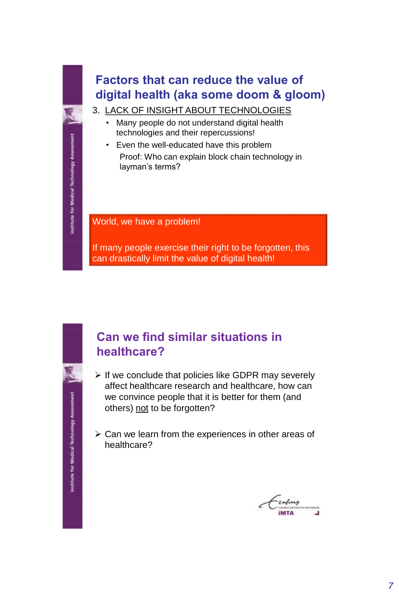# **Factors that can reduce the value of digital health (aka some doom & gloom)**

- 3. LACK OF INSIGHT ABOUT TECHNOLOGIES
	- Many people do not understand digital health technologies and their repercussions!
	- Even the well-educated have this problem
	- Proof: Who can explain block chain technology in layman's terms?

World, we have a problem!

If many people exercise their right to be forgotten, this can drastically limit the value of digital health!

institute for Medical Technology Assessment

#### **Can we find similar situations in healthcare?**

- $\triangleright$  If we conclude that policies like GDPR may severely affect healthcare research and healthcare, how can we convince people that it is better for them (and others) not to be forgotten?
- $\triangleright$  Can we learn from the experiences in other areas of healthcare?

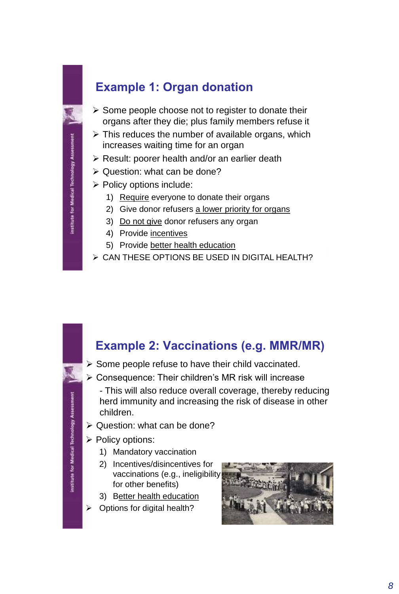### **Example 1: Organ donation**

- $\triangleright$  Some people choose not to register to donate their organs after they die; plus family members refuse it
- $\triangleright$  This reduces the number of available organs, which increases waiting time for an organ
- $\triangleright$  Result: poorer health and/or an earlier death
- $\triangleright$  Question: what can be done?
- $\triangleright$  Policy options include:
	- 1) Require everyone to donate their organs
	- 2) Give donor refusers a lower priority for organs
	- 3) Do not give donor refusers any organ
	- 4) Provide incentives
	- 5) Provide better health education
- CAN THESE OPTIONS BE USED IN DIGITAL HEALTH?

#### **Example 2: Vaccinations (e.g. MMR/MR)**

- $\triangleright$  Some people refuse to have their child vaccinated.
- Consequence: Their children's MR risk will increase
	- This will also reduce overall coverage, thereby reducing herd immunity and increasing the risk of disease in other children.
- $\triangleright$  Question: what can be done?
- $\triangleright$  Policy options:
	- 1) Mandatory vaccination
	- 2) Incentives/disincentives for vaccinations (e.g., ineligibility for other benefits)
	- 3) Better health education
- $\triangleright$  Options for digital health?